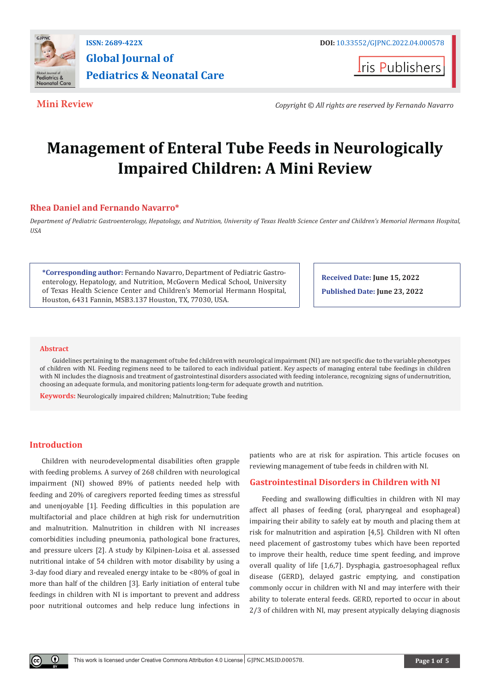

## **ISSN: 2689-422X DOI:** [10.33552/GJPNC.2022.04.000578](http://dx.doi.org/10.33552/GJPNC.2022.04.000578) **Global Journal of Pediatrics & Neonatal Care**

**Iris Publishers** 

**Mini Review** *Copyright © All rights are reserved by Fernando Navarro*

# **Management of Enteral Tube Feeds in Neurologically Impaired Children: A Mini Review**

### **Rhea Daniel and Fernando Navarro\***

*Department of Pediatric Gastroenterology, Hepatology, and Nutrition, University of Texas Health Science Center and Children's Memorial Hermann Hospital, USA*

**\*Corresponding author:** Fernando Navarro, Department of Pediatric Gastroenterology, Hepatology, and Nutrition, McGovern Medical School, University of Texas Health Science Center and Children's Memorial Hermann Hospital, Houston, 6431 Fannin, MSB3.137 Houston, TX, 77030, USA.

**Received Date: June 15, 2022**

**Published Date: June 23, 2022**

#### **Abstract**

Guidelines pertaining to the management of tube fed children with neurological impairment (NI) are not specific due to the variable phenotypes of children with NI. Feeding regimens need to be tailored to each individual patient. Key aspects of managing enteral tube feedings in children with NI includes the diagnosis and treatment of gastrointestinal disorders associated with feeding intolerance, recognizing signs of undernutrition, choosing an adequate formula, and monitoring patients long-term for adequate growth and nutrition.

**Keywords:** Neurologically impaired children; Malnutrition; Tube feeding

### **Introduction**

Children with neurodevelopmental disabilities often grapple with feeding problems. A survey of 268 children with neurological impairment (NI) showed 89% of patients needed help with feeding and 20% of caregivers reported feeding times as stressful and unenjoyable [1]. Feeding difficulties in this population are multifactorial and place children at high risk for undernutrition and malnutrition. Malnutrition in children with NI increases comorbidities including pneumonia, pathological bone fractures, and pressure ulcers [2]. A study by Kilpinen-Loisa et al. assessed nutritional intake of 54 children with motor disability by using a 3-day food diary and revealed energy intake to be <80% of goal in more than half of the children [3]. Early initiation of enteral tube feedings in children with NI is important to prevent and address poor nutritional outcomes and help reduce lung infections in

patients who are at risk for aspiration. This article focuses on reviewing management of tube feeds in children with NI.

#### **Gastrointestinal Disorders in Children with NI**

Feeding and swallowing difficulties in children with NI may affect all phases of feeding (oral, pharyngeal and esophageal) impairing their ability to safely eat by mouth and placing them at risk for malnutrition and aspiration [4,5]. Children with NI often need placement of gastrostomy tubes which have been reported to improve their health, reduce time spent feeding, and improve overall quality of life [1,6,7]. Dysphagia, gastroesophageal reflux disease (GERD), delayed gastric emptying, and constipation commonly occur in children with NI and may interfere with their ability to tolerate enteral feeds. GERD, reported to occur in about 2/3 of children with NI, may present atypically delaying diagnosis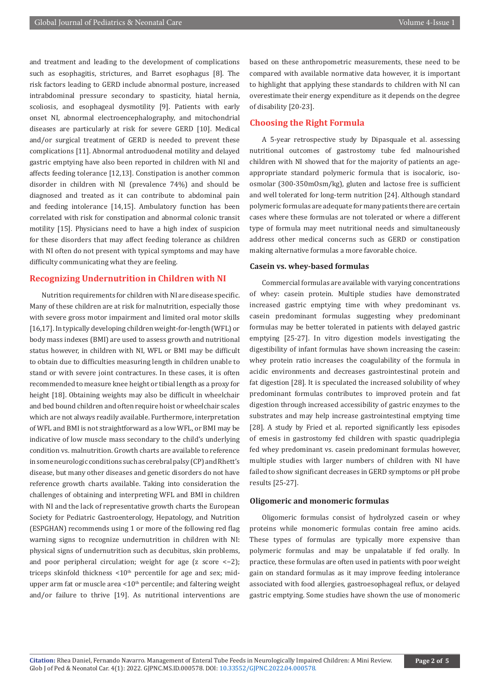and treatment and leading to the development of complications such as esophagitis, strictures, and Barret esophagus [8]. The risk factors leading to GERD include abnormal posture, increased intrabdominal pressure secondary to spasticity, hiatal hernia, scoliosis, and esophageal dysmotility [9]. Patients with early onset NI, abnormal electroencephalography, and mitochondrial diseases are particularly at risk for severe GERD [10]. Medical and/or surgical treatment of GERD is needed to prevent these complications [11]. Abnormal antroduodenal motility and delayed gastric emptying have also been reported in children with NI and affects feeding tolerance [12,13]. Constipation is another common disorder in children with NI (prevalence 74%) and should be diagnosed and treated as it can contribute to abdominal pain and feeding intolerance [14,15]. Ambulatory function has been correlated with risk for constipation and abnormal colonic transit motility [15]. Physicians need to have a high index of suspicion for these disorders that may affect feeding tolerance as children with NI often do not present with typical symptoms and may have difficulty communicating what they are feeling.

#### **Recognizing Undernutrition in Children with NI**

Nutrition requirements for children with NI are disease specific. Many of these children are at risk for malnutrition, especially those with severe gross motor impairment and limited oral motor skills [16,17]. In typically developing children weight-for-length (WFL) or body mass indexes (BMI) are used to assess growth and nutritional status however, in children with NI, WFL or BMI may be difficult to obtain due to difficulties measuring length in children unable to stand or with severe joint contractures. In these cases, it is often recommended to measure knee height or tibial length as a proxy for height [18]. Obtaining weights may also be difficult in wheelchair and bed bound children and often require hoist or wheelchair scales which are not always readily available. Furthermore, interpretation of WFL and BMI is not straightforward as a low WFL, or BMI may be indicative of low muscle mass secondary to the child's underlying condition vs. malnutrition. Growth charts are available to reference in some neurologic conditions such as cerebral palsy (CP) and Rhett's disease, but many other diseases and genetic disorders do not have reference growth charts available. Taking into consideration the challenges of obtaining and interpreting WFL and BMI in children with NI and the lack of representative growth charts the European Society for Pediatric Gastroenterology, Hepatology, and Nutrition (ESPGHAN) recommends using 1 or more of the following red flag warning signs to recognize undernutrition in children with NI: physical signs of undernutrition such as decubitus, skin problems, and poor peripheral circulation; weight for age (z score <-2); triceps skinfold thickness  $\leq 10^{th}$  percentile for age and sex; midupper arm fat or muscle area  $\leq 10^{th}$  percentile; and faltering weight and/or failure to thrive [19]. As nutritional interventions are based on these anthropometric measurements, these need to be compared with available normative data however, it is important to highlight that applying these standards to children with NI can overestimate their energy expenditure as it depends on the degree of disability [20-23].

#### **Choosing the Right Formula**

A 5-year retrospective study by Dipasquale et al. assessing nutritional outcomes of gastrostomy tube fed malnourished children with NI showed that for the majority of patients an ageappropriate standard polymeric formula that is isocaloric, isoosmolar (300-350mOsm/kg), gluten and lactose free is sufficient and well tolerated for long-term nutrition [24]. Although standard polymeric formulas are adequate for many patients there are certain cases where these formulas are not tolerated or where a different type of formula may meet nutritional needs and simultaneously address other medical concerns such as GERD or constipation making alternative formulas a more favorable choice.

#### **Casein vs. whey-based formulas**

Commercial formulas are available with varying concentrations of whey: casein protein. Multiple studies have demonstrated increased gastric emptying time with whey predominant vs. casein predominant formulas suggesting whey predominant formulas may be better tolerated in patients with delayed gastric emptying [25-27]. In vitro digestion models investigating the digestibility of infant formulas have shown increasing the casein: whey protein ratio increases the coagulability of the formula in acidic environments and decreases gastrointestinal protein and fat digestion [28]. It is speculated the increased solubility of whey predominant formulas contributes to improved protein and fat digestion through increased accessibility of gastric enzymes to the substrates and may help increase gastrointestinal emptying time [28]. A study by Fried et al. reported significantly less episodes of emesis in gastrostomy fed children with spastic quadriplegia fed whey predominant vs. casein predominant formulas however, multiple studies with larger numbers of children with NI have failed to show significant decreases in GERD symptoms or pH probe results [25-27].

#### **Oligomeric and monomeric formulas**

Oligomeric formulas consist of hydrolyzed casein or whey proteins while monomeric formulas contain free amino acids. These types of formulas are typically more expensive than polymeric formulas and may be unpalatable if fed orally. In practice, these formulas are often used in patients with poor weight gain on standard formulas as it may improve feeding intolerance associated with food allergies, gastroesophageal reflux, or delayed gastric emptying. Some studies have shown the use of monomeric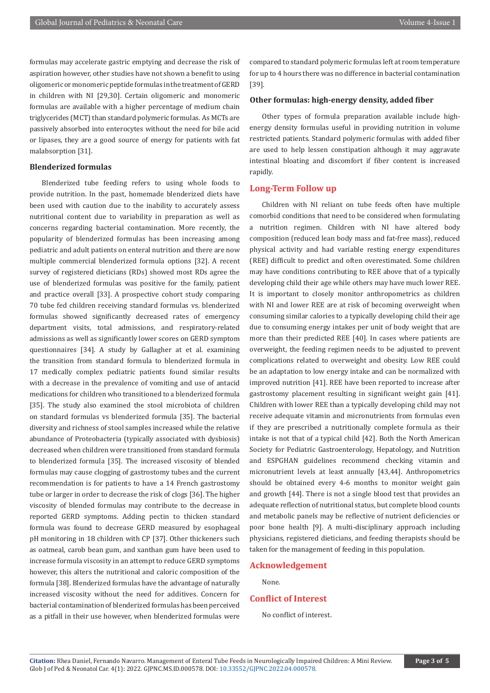formulas may accelerate gastric emptying and decrease the risk of aspiration however, other studies have not shown a benefit to using oligomeric or monomeric peptide formulas in the treatment of GERD in children with NI [29,30]. Certain oligomeric and monomeric formulas are available with a higher percentage of medium chain triglycerides (MCT) than standard polymeric formulas. As MCTs are passively absorbed into enterocytes without the need for bile acid or lipases, they are a good source of energy for patients with fat malabsorption [31].

#### **Blenderized formulas**

Blenderized tube feeding refers to using whole foods to provide nutrition. In the past, homemade blenderized diets have been used with caution due to the inability to accurately assess nutritional content due to variability in preparation as well as concerns regarding bacterial contamination. More recently, the popularity of blenderized formulas has been increasing among pediatric and adult patients on enteral nutrition and there are now multiple commercial blenderized formula options [32]. A recent survey of registered dieticians (RDs) showed most RDs agree the use of blenderized formulas was positive for the family, patient and practice overall [33]. A prospective cohort study comparing 70 tube fed children receiving standard formulas vs. blenderized formulas showed significantly decreased rates of emergency department visits, total admissions, and respiratory-related admissions as well as significantly lower scores on GERD symptom questionnaires [34]. A study by Gallagher at et al. examining the transition from standard formula to blenderized formula in 17 medically complex pediatric patients found similar results with a decrease in the prevalence of vomiting and use of antacid medications for children who transitioned to a blenderized formula [35]. The study also examined the stool microbiota of children on standard formulas vs blenderized formula [35]. The bacterial diversity and richness of stool samples increased while the relative abundance of Proteobacteria (typically associated with dysbiosis) decreased when children were transitioned from standard formula to blenderized formula [35]. The increased viscosity of blended formulas may cause clogging of gastrostomy tubes and the current recommendation is for patients to have a 14 French gastrostomy tube or larger in order to decrease the risk of clogs [36]. The higher viscosity of blended formulas may contribute to the decrease in reported GERD symptoms. Adding pectin to thicken standard formula was found to decrease GERD measured by esophageal pH monitoring in 18 children with CP [37]. Other thickeners such as oatmeal, carob bean gum, and xanthan gum have been used to increase formula viscosity in an attempt to reduce GERD symptoms however, this alters the nutritional and caloric composition of the formula [38]. Blenderized formulas have the advantage of naturally increased viscosity without the need for additives. Concern for bacterial contamination of blenderized formulas has been perceived as a pitfall in their use however, when blenderized formulas were

compared to standard polymeric formulas left at room temperature for up to 4 hours there was no difference in bacterial contamination [39].

#### **Other formulas: high-energy density, added fiber**

Other types of formula preparation available include highenergy density formulas useful in providing nutrition in volume restricted patients. Standard polymeric formulas with added fiber are used to help lessen constipation although it may aggravate intestinal bloating and discomfort if fiber content is increased rapidly.

#### **Long-Term Follow up**

Children with NI reliant on tube feeds often have multiple comorbid conditions that need to be considered when formulating a nutrition regimen. Children with NI have altered body composition (reduced lean body mass and fat-free mass), reduced physical activity and had variable resting energy expenditures (REE) difficult to predict and often overestimated. Some children may have conditions contributing to REE above that of a typically developing child their age while others may have much lower REE. It is important to closely monitor anthropometrics as children with NI and lower REE are at risk of becoming overweight when consuming similar calories to a typically developing child their age due to consuming energy intakes per unit of body weight that are more than their predicted REE [40]. In cases where patients are overweight, the feeding regimen needs to be adjusted to prevent complications related to overweight and obesity. Low REE could be an adaptation to low energy intake and can be normalized with improved nutrition [41]. REE have been reported to increase after gastrostomy placement resulting in significant weight gain [41]. Children with lower REE than a typically developing child may not receive adequate vitamin and micronutrients from formulas even if they are prescribed a nutritionally complete formula as their intake is not that of a typical child [42]. Both the North American Society for Pediatric Gastroenterology, Hepatology, and Nutrition and ESPGHAN guidelines recommend checking vitamin and micronutrient levels at least annually [43,44]. Anthropometrics should be obtained every 4-6 months to monitor weight gain and growth [44]. There is not a single blood test that provides an adequate reflection of nutritional status, but complete blood counts and metabolic panels may be reflective of nutrient deficiencies or poor bone health [9]. A multi-disciplinary approach including physicians, registered dieticians, and feeding therapists should be taken for the management of feeding in this population.

#### **Acknowledgement**

None.

#### **Conflict of Interest**

No conflict of interest.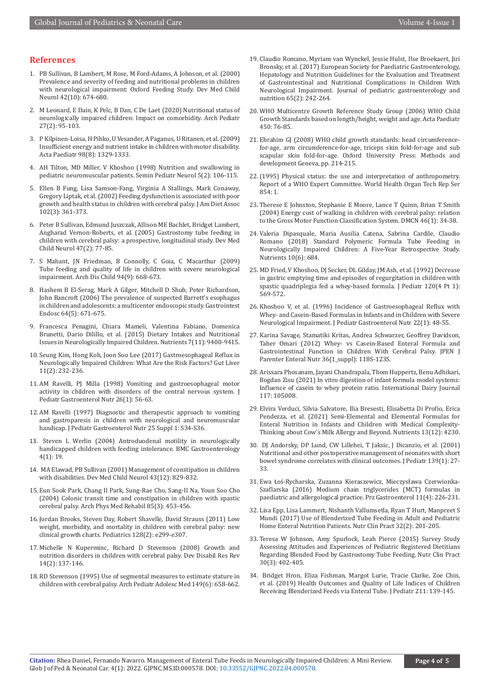#### **References**

- 1. [PB Sullivan, B Lambert, M Rose, M Ford-Adams, A Johnson, et al. \(2000\)](https://pubmed.ncbi.nlm.nih.gov/11085295/)  [Prevalence and severity of feeding and nutritional problems in children](https://pubmed.ncbi.nlm.nih.gov/11085295/)  [with neurological impairment: Oxford Feeding Study. Dev Med Child](https://pubmed.ncbi.nlm.nih.gov/11085295/)  [Neurol 42\(10\): 674-680.](https://pubmed.ncbi.nlm.nih.gov/11085295/)
- 2. [M Leonard, E Dain, K Pelc, B Dan, C De Laet \(2020\) Nutritional status of](https://pubmed.ncbi.nlm.nih.gov/31791829/)  [neurologically impaired children: Impact on comorbidity. Arch Pediatr](https://pubmed.ncbi.nlm.nih.gov/31791829/)  [27\(2\): 95-103.](https://pubmed.ncbi.nlm.nih.gov/31791829/)
- 3. [P Kilpinen-Loisa, H Pihko, U Vesander, A Paganus, U Ritanen, et al. \(2009\)](https://pubmed.ncbi.nlm.nih.gov/19432830/)  [Insufficient energy and nutrient intake in children with motor disability.](https://pubmed.ncbi.nlm.nih.gov/19432830/)  [Acta Paediatr 98\(8\): 1329-1333.](https://pubmed.ncbi.nlm.nih.gov/19432830/)
- 4. [AH Tilton, MD Miller, V Khoshoo \(1998\) Nutrition and swallowing in](https://pubmed.ncbi.nlm.nih.gov/9661244/)  [pediatric neuromuscular patients. Semin Pediatr Neurol 5\(2\): 106-115.](https://pubmed.ncbi.nlm.nih.gov/9661244/)
- 5. [Ellen B Fung, Lisa Samson-Fang, Virginia A Stallings, Mark Conaway,](https://pubmed.ncbi.nlm.nih.gov/11902369/)  [Gregory Liptak, et al. \(2002\) Feeding dysfunction is associated with poor](https://pubmed.ncbi.nlm.nih.gov/11902369/)  [growth and health status in children with cerebral palsy. J Am Diet Assoc](https://pubmed.ncbi.nlm.nih.gov/11902369/)  [102\(3\): 361-373.](https://pubmed.ncbi.nlm.nih.gov/11902369/)
- 6. [Peter B Sullivan, Edmund Juszczak, Allison ME Bachlet, Bridget Lambert,](https://pubmed.ncbi.nlm.nih.gov/15707230/)  [Angharad Vernon-Roberts, et al. \(2005\) Gastrostomy tube feeding in](https://pubmed.ncbi.nlm.nih.gov/15707230/)  [children with cerebral palsy: a prospective, longitudinal study. Dev Med](https://pubmed.ncbi.nlm.nih.gov/15707230/)  [Child Neurol 47\(2\): 77-85.](https://pubmed.ncbi.nlm.nih.gov/15707230/)
- 7. [S Mahant, JN Friedman, B Connolly, C Goia, C Macarthur \(2009\)](https://pubmed.ncbi.nlm.nih.gov/19465586/)  [Tube feeding and quality of life in children with severe neurological](https://pubmed.ncbi.nlm.nih.gov/19465586/)  [impairment. Arch Dis Child 94\(9\): 668-673.](https://pubmed.ncbi.nlm.nih.gov/19465586/)
- 8. [Hashem B El-Serag, Mark A Gilger, Mitchell D Shub, Peter Richardson,](https://pubmed.ncbi.nlm.nih.gov/17055854/)  [John Bancroft \(2006\) The prevalence of suspected Barrett's esophagus](https://pubmed.ncbi.nlm.nih.gov/17055854/)  [in children and adolescents: a multicenter endoscopic study. Gastrointest](https://pubmed.ncbi.nlm.nih.gov/17055854/)  [Endosc 64\(5\): 671-675.](https://pubmed.ncbi.nlm.nih.gov/17055854/)
- 9. [Francesca Penagini, Chiara Mameli, Valentina Fabiano, Domenica](https://pubmed.ncbi.nlm.nih.gov/26580646/)  [Brunetti, Dario Dilillo, et al. \(2015\) Dietary Intakes and Nutritional](https://pubmed.ncbi.nlm.nih.gov/26580646/)  [Issues in Neurologically Impaired Children. Nutrients 7\(11\): 9400-9415.](https://pubmed.ncbi.nlm.nih.gov/26580646/)
- 10. [Seung Kim, Hong Koh, Joon Soo Lee \(2017\) Gastroesophageal Reflux in](https://pubmed.ncbi.nlm.nih.gov/27840365/)  [Neurologically Impaired Children: What Are the Risk Factors? Gut Liver](https://pubmed.ncbi.nlm.nih.gov/27840365/)  [11\(2\): 232-236.](https://pubmed.ncbi.nlm.nih.gov/27840365/)
- 11. [AM Ravelli, PJ Milla \(1998\) Vomiting and gastroesophageal motor](https://pubmed.ncbi.nlm.nih.gov/9443121/)  [activity in children with disorders of the central nervous system. J](https://pubmed.ncbi.nlm.nih.gov/9443121/)  [Pediatr Gastroenterol Nutr 26\(1\): 56-63.](https://pubmed.ncbi.nlm.nih.gov/9443121/)
- 12. [AM Ravelli \(1997\) Diagnostic and therapeutic approach to vomiting](https://pubmed.ncbi.nlm.nih.gov/9285864/)  [and gastroparesis in children with neurological and neuromuscular](https://pubmed.ncbi.nlm.nih.gov/9285864/)  [handicap. J Pediatr Gastroenterol Nutr 25 Suppl 1: S34-S36.](https://pubmed.ncbi.nlm.nih.gov/9285864/)
- 13. [Steven L Werlin \(2004\) Antroduodenal motility in neurologically](https://pubmed.ncbi.nlm.nih.gov/15341670/)  [handicapped children with feeding intolerance. BMC Gastroenterology](https://pubmed.ncbi.nlm.nih.gov/15341670/)  [4\(1\): 19.](https://pubmed.ncbi.nlm.nih.gov/15341670/)
- 14. [MA Elawad, PB Sullivan \(2001\) Management of constipation in children](https://pubmed.ncbi.nlm.nih.gov/11769270/)  [with disabilities. Dev Med Child Neurol 43\(12\): 829-832.](https://pubmed.ncbi.nlm.nih.gov/11769270/)
- 15. [Eun Sook Park, Chang Il Park, Sung-Rae Cho, Sang-Il Na, Youn Soo Cho](https://pubmed.ncbi.nlm.nih.gov/15031832/)  [\(2004\) Colonic transit time and constipation in children with spastic](https://pubmed.ncbi.nlm.nih.gov/15031832/)  [cerebral palsy. Arch Phys Med Rehabil 85\(3\): 453-456.](https://pubmed.ncbi.nlm.nih.gov/15031832/)
- 16. [Jordan Brooks, Steven Day, Robert Shavelle, David Strauss \(2011\) Low](https://pubmed.ncbi.nlm.nih.gov/21768315/)  [weight, morbidity, and mortality in children with cerebral palsy: new](https://pubmed.ncbi.nlm.nih.gov/21768315/)  [clinical growth charts. Pediatrics 128\(2\): e299-e307.](https://pubmed.ncbi.nlm.nih.gov/21768315/)
- 17. [Michelle N Kuperminc, Richard D Stevenson \(2008\) Growth and](https://pubmed.ncbi.nlm.nih.gov/18646022/)  [nutrition disorders in children with cerebral palsy. Dev Disabil Res Rev](https://pubmed.ncbi.nlm.nih.gov/18646022/)  [14\(2\): 137-146.](https://pubmed.ncbi.nlm.nih.gov/18646022/)
- 18. [RD Stevenson \(1995\) Use of segmental measures to estimate stature in](https://pubmed.ncbi.nlm.nih.gov/7767422/)  [children with cerebral palsy. Arch Pediatr Adolesc Med 149\(6\): 658-662.](https://pubmed.ncbi.nlm.nih.gov/7767422/)
- 19. [Claudio Romano, Myriam van Wynckel, Jessie Hulst, Ilse Broekaert, Jiri](https://pubmed.ncbi.nlm.nih.gov/28737572/) [Bronsky, et al. \(2017\) European Society for Paediatric Gastroenterology,](https://pubmed.ncbi.nlm.nih.gov/28737572/) [Hepatology and Nutrition Guidelines for the Evaluation and Treatment](https://pubmed.ncbi.nlm.nih.gov/28737572/) [of Gastrointestinal and Nutritional Complications in Children With](https://pubmed.ncbi.nlm.nih.gov/28737572/) [Neurological Impairment. Journal of pediatric gastroenterology and](https://pubmed.ncbi.nlm.nih.gov/28737572/) [nutrition 65\(2\): 242-264.](https://pubmed.ncbi.nlm.nih.gov/28737572/)
- 20. [WHO Multicentre Growth Reference Study Group \(2006\) WHO Child](https://pubmed.ncbi.nlm.nih.gov/16817681/) [Growth Standards based on length/height, weight and age. Acta Paediatr](https://pubmed.ncbi.nlm.nih.gov/16817681/) [450: 76-85.](https://pubmed.ncbi.nlm.nih.gov/16817681/)
- 21. Ebrahim GJ (2008) WHO child growth standards: head circumferencefor-age, arm circumference-for-age, triceps skin fold-for-age and sub scapular skin fold-for-age. Oxford University Press: Methods and development Geneva, pp. 214-215.
- 22.[\(1995\) Physical status: the use and interpretation of anthropometry.](https://pubmed.ncbi.nlm.nih.gov/8594834/) [Report of a WHO Expert Committee. World Health Organ Tech Rep Ser](https://pubmed.ncbi.nlm.nih.gov/8594834/) [854: 1.](https://pubmed.ncbi.nlm.nih.gov/8594834/)
- 23. [Therese E Johnston, Stephanie E Moore, Lance T Quinn, Brian T Smith](https://pubmed.ncbi.nlm.nih.gov/14974645/) [\(2004\) Energy cost of walking in children with cerebral palsy: relation](https://pubmed.ncbi.nlm.nih.gov/14974645/) [to the Gross Motor Function Classification System. DMCN 46\(1\): 34-38.](https://pubmed.ncbi.nlm.nih.gov/14974645/)
- 24. [Valeria Dipasquale, Maria Ausilia Catena, Sabrina Cardile, Claudio](https://pubmed.ncbi.nlm.nih.gov/29843419/) [Romano \(2018\) Standard Polymeric Formula Tube Feeding in](https://pubmed.ncbi.nlm.nih.gov/29843419/) [Neurologically Impaired Children: A Five-Year Retrospective Study.](https://pubmed.ncbi.nlm.nih.gov/29843419/) [Nutrients 10\(6\): 684.](https://pubmed.ncbi.nlm.nih.gov/29843419/)
- 25. [MD Fried, V Khoshoo, DJ Secker, DL Gilday, JM Ash, et al. \(1992\) Decrease](https://pubmed.ncbi.nlm.nih.gov/1552396/) [in gastric emptying time and episodes of regurgitation in children with](https://pubmed.ncbi.nlm.nih.gov/1552396/) [spastic quadriplegia fed a whey-based formula. J Pediatr 120\(4 Pt 1\):](https://pubmed.ncbi.nlm.nih.gov/1552396/) [569-572.](https://pubmed.ncbi.nlm.nih.gov/1552396/)
- 26. [Khoshoo V, et al. \(1996\) Incidence of Gastroesophageal Reflux with](https://pubmed.ncbi.nlm.nih.gov/8788287/) [Whey- and Casein-Based Formulas in Infants and in Children with Severe](https://pubmed.ncbi.nlm.nih.gov/8788287/) [Neurological Impairment. J Pediatr Gastroenterol Nutr 22\(1\): 48-55.](https://pubmed.ncbi.nlm.nih.gov/8788287/)
- 27. [Karina Savage, Stamatiki Kritas, Andrea Schwarzer, Geoffrey Davidson,](https://pubmed.ncbi.nlm.nih.gov/22237871/) [Taher Omari \(2012\) Whey- vs Casein-Based Enteral Formula and](https://pubmed.ncbi.nlm.nih.gov/22237871/) [Gastrointestinal Function in Children With Cerebral Palsy. JPEN J](https://pubmed.ncbi.nlm.nih.gov/22237871/) [Parenter Enteral Nutr 36\(1\\_suppl\): 118S-123S.](https://pubmed.ncbi.nlm.nih.gov/22237871/)
- 28. [Arissara Phosanam, Jayani Chandrapala, Thom Huppertz, Benu Adhikari,](https://www.sciencedirect.com/science/article/abs/pii/S0958694621000364) [Bogdan Zisu \(2021\) In vitro digestion of infant formula model systems:](https://www.sciencedirect.com/science/article/abs/pii/S0958694621000364) [Influence of casein to whey protein ratio. International Dairy Journal](https://www.sciencedirect.com/science/article/abs/pii/S0958694621000364) [117: 105008.](https://www.sciencedirect.com/science/article/abs/pii/S0958694621000364)
- 29. [Elvira Verduci, Silvia Salvatore, Ilia Bresesti, Elisabetta Di Profio, Erica](https://pubmed.ncbi.nlm.nih.gov/34959782/) [Pendezza, et al. \(2021\) Semi-Elemental and Elemental Formulas for](https://pubmed.ncbi.nlm.nih.gov/34959782/) [Enteral Nutrition in Infants and Children with Medical Complexity-](https://pubmed.ncbi.nlm.nih.gov/34959782/)[Thinking about Cow's Milk Allergy and Beyond. Nutrients 13\(12\): 4230.](https://pubmed.ncbi.nlm.nih.gov/34959782/)
- 30. [DJ Andorsky, DP Lund, CW Lillehei, T Jaksic, J Dicanzio, et al. \(2001\)](https://pubmed.ncbi.nlm.nih.gov/11445790/) [Nutritional and other postoperative management of neonates with short](https://pubmed.ncbi.nlm.nih.gov/11445790/) [bowel syndrome correlates with clinical outcomes. J Pediatr 139\(1\): 27-](https://pubmed.ncbi.nlm.nih.gov/11445790/) [33.](https://pubmed.ncbi.nlm.nih.gov/11445790/)
- 31. Ewa Łoś[-Rycharska, Zuzanna Kieraszewicz, Mieczysława Czerwionka-](https://pubmed.ncbi.nlm.nih.gov/28053676/)[Szaflarska \(2016\) Medium chain triglycerides \(MCT\) formulas in](https://pubmed.ncbi.nlm.nih.gov/28053676/) [paediatric and allergological practice. Prz Gastroenterol 11\(4\): 226-231.](https://pubmed.ncbi.nlm.nih.gov/28053676/)
- 32. [Lisa Epp, Lisa Lammert, Nishanth Vallumsetla, Ryan T Hurt, Manpreet S](https://pubmed.ncbi.nlm.nih.gov/27589257/) [Mundi \(2017\) Use of Blenderized Tube Feeding in Adult and Pediatric](https://pubmed.ncbi.nlm.nih.gov/27589257/) [Home Enteral Nutrition Patients. Nutr Clin Pract 32\(2\): 201-205.](https://pubmed.ncbi.nlm.nih.gov/27589257/)
- 33. [Teresa W Johnson, Amy Spurlock, Leah Pierce \(2015\) Survey Study](https://pubmed.ncbi.nlm.nih.gov/25533438/) [Assessing Attitudes and Experiences of Pediatric Registered Dietitians](https://pubmed.ncbi.nlm.nih.gov/25533438/) [Regarding Blended Food by Gastrostomy Tube Feeding. Nutr Clin Pract](https://pubmed.ncbi.nlm.nih.gov/25533438/) [30\(3\): 402-405.](https://pubmed.ncbi.nlm.nih.gov/25533438/)
- 34. [Bridget Hron, Eliza Fishman, Margot Lurie, Tracie Clarke, Zoe Chin,](https://pubmed.ncbi.nlm.nih.gov/31128885/) [et al. \(2019\) Health Outcomes and Quality of Life Indices of Children](https://pubmed.ncbi.nlm.nih.gov/31128885/) [Receiving Blenderized Feeds via Enteral Tube. J Pediatr 211: 139-145.](https://pubmed.ncbi.nlm.nih.gov/31128885/)